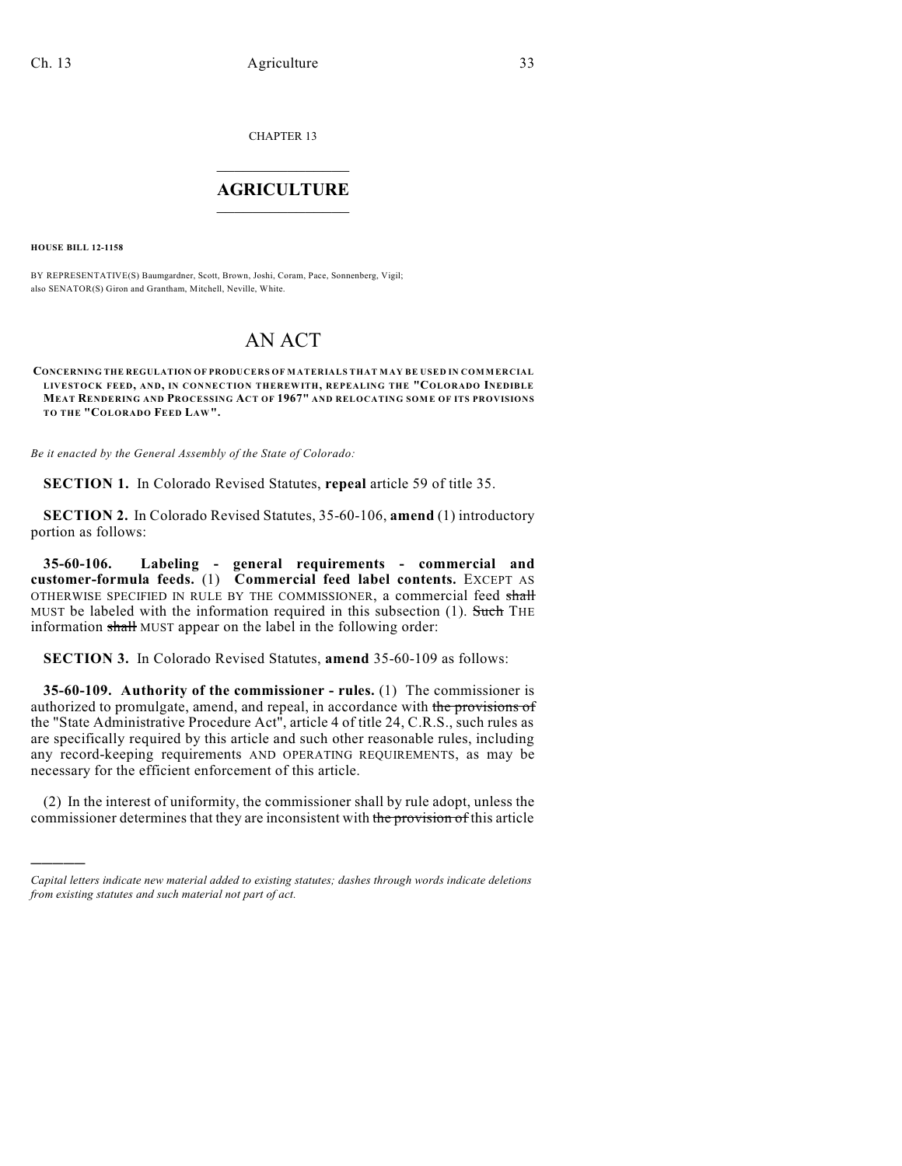CHAPTER 13

## $\mathcal{L}_\text{max}$  . The set of the set of the set of the set of the set of the set of the set of the set of the set of the set of the set of the set of the set of the set of the set of the set of the set of the set of the set **AGRICULTURE**  $\_$   $\_$   $\_$   $\_$   $\_$   $\_$   $\_$   $\_$

**HOUSE BILL 12-1158**

)))))

BY REPRESENTATIVE(S) Baumgardner, Scott, Brown, Joshi, Coram, Pace, Sonnenberg, Vigil; also SENATOR(S) Giron and Grantham, Mitchell, Neville, White.

## AN ACT

**CONCERNING THE REGULATION OF PRODUCERS OF MATERIALS THAT MAY BE USED IN COMMERCIAL LIVESTOCK FEED, AND, IN CONNECTION THEREWITH, REPEALING THE "COLORADO INEDIBLE MEAT RENDERING AND PROCESSING ACT OF 1967" AND RELOCATING SOME OF ITS PROVISIONS TO THE "COLORADO FEED LAW".**

*Be it enacted by the General Assembly of the State of Colorado:*

**SECTION 1.** In Colorado Revised Statutes, **repeal** article 59 of title 35.

**SECTION 2.** In Colorado Revised Statutes, 35-60-106, **amend** (1) introductory portion as follows:

**35-60-106. Labeling - general requirements - commercial and customer-formula feeds.** (1) **Commercial feed label contents.** EXCEPT AS OTHERWISE SPECIFIED IN RULE BY THE COMMISSIONER, a commercial feed shall MUST be labeled with the information required in this subsection  $(1)$ . Such THE information shall MUST appear on the label in the following order:

**SECTION 3.** In Colorado Revised Statutes, **amend** 35-60-109 as follows:

**35-60-109. Authority of the commissioner - rules.** (1) The commissioner is authorized to promulgate, amend, and repeal, in accordance with the provisions of the "State Administrative Procedure Act", article 4 of title 24, C.R.S., such rules as are specifically required by this article and such other reasonable rules, including any record-keeping requirements AND OPERATING REQUIREMENTS, as may be necessary for the efficient enforcement of this article.

(2) In the interest of uniformity, the commissioner shall by rule adopt, unless the commissioner determines that they are inconsistent with the provision of this article

*Capital letters indicate new material added to existing statutes; dashes through words indicate deletions from existing statutes and such material not part of act.*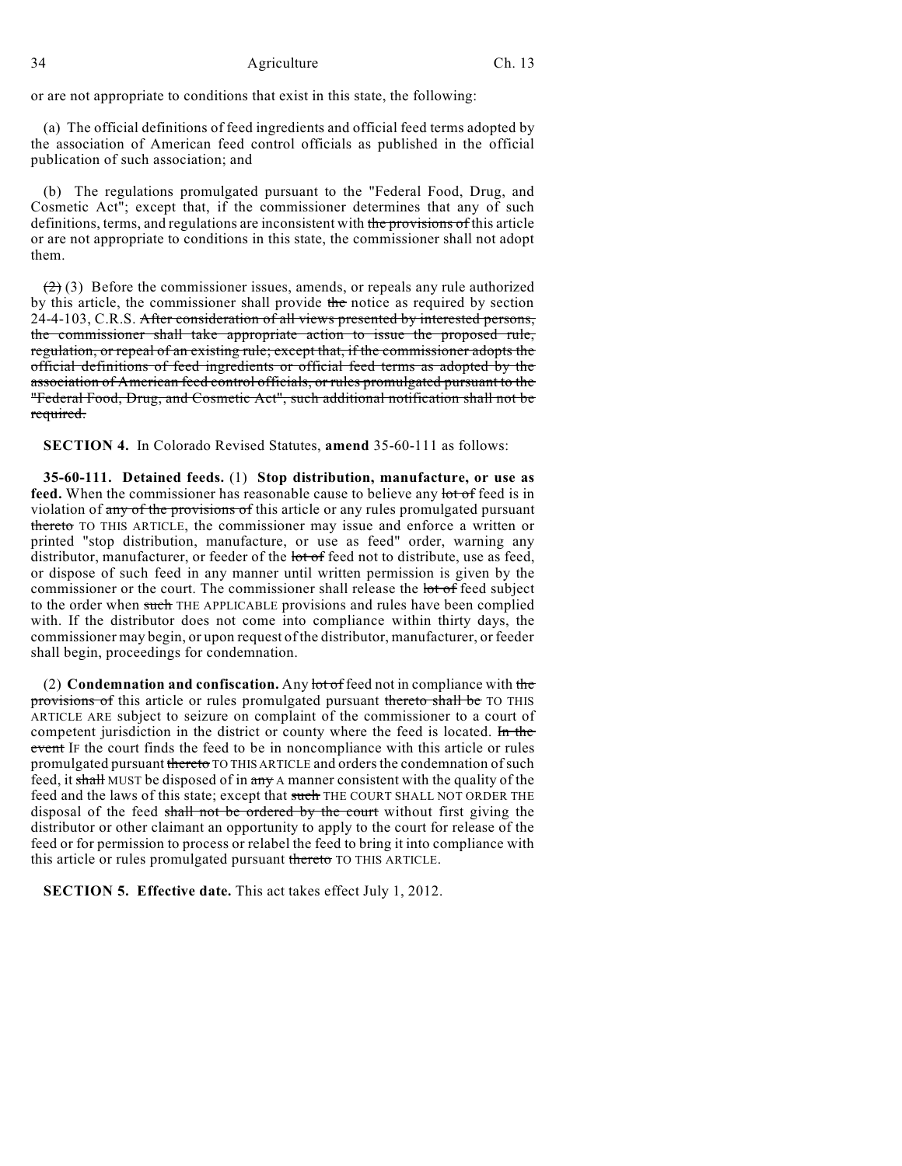or are not appropriate to conditions that exist in this state, the following:

(a) The official definitions of feed ingredients and official feed terms adopted by the association of American feed control officials as published in the official publication of such association; and

(b) The regulations promulgated pursuant to the "Federal Food, Drug, and Cosmetic Act"; except that, if the commissioner determines that any of such definitions, terms, and regulations are inconsistent with the provisions of this article or are not appropriate to conditions in this state, the commissioner shall not adopt them.

 $(2)$  (3) Before the commissioner issues, amends, or repeals any rule authorized by this article, the commissioner shall provide the notice as required by section 24-4-103, C.R.S. After consideration of all views presented by interested persons, the commissioner shall take appropriate action to issue the proposed rule, regulation, or repeal of an existing rule; except that, if the commissioner adopts the official definitions of feed ingredients or official feed terms as adopted by the association of American feed control officials, or rules promulgated pursuant to the "Federal Food, Drug, and Cosmetic Act", such additional notification shall not be required.

**SECTION 4.** In Colorado Revised Statutes, **amend** 35-60-111 as follows:

**35-60-111. Detained feeds.** (1) **Stop distribution, manufacture, or use as feed.** When the commissioner has reasonable cause to believe any lot of feed is in violation of any of the provisions of this article or any rules promulgated pursuant thereto TO THIS ARTICLE, the commissioner may issue and enforce a written or printed "stop distribution, manufacture, or use as feed" order, warning any distributor, manufacturer, or feeder of the lot of feed not to distribute, use as feed, or dispose of such feed in any manner until written permission is given by the commissioner or the court. The commissioner shall release the lot of feed subject to the order when such THE APPLICABLE provisions and rules have been complied with. If the distributor does not come into compliance within thirty days, the commissioner may begin, or upon request of the distributor, manufacturer, or feeder shall begin, proceedings for condemnation.

(2) **Condemnation and confiscation.** Any lot of feed not in compliance with the provisions of this article or rules promulgated pursuant thereto shall be TO THIS ARTICLE ARE subject to seizure on complaint of the commissioner to a court of competent jurisdiction in the district or county where the feed is located. In the event IF the court finds the feed to be in noncompliance with this article or rules promulgated pursuant theretor TO THIS ARTICLE and orders the condemnation of such feed, it shall MUST be disposed of in any A manner consistent with the quality of the feed and the laws of this state; except that such THE COURT SHALL NOT ORDER THE disposal of the feed shall not be ordered by the court without first giving the distributor or other claimant an opportunity to apply to the court for release of the feed or for permission to process or relabel the feed to bring it into compliance with this article or rules promulgated pursuant thereto TO THIS ARTICLE.

**SECTION 5. Effective date.** This act takes effect July 1, 2012.